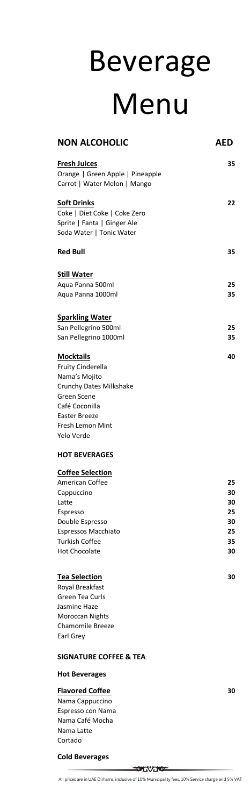**SOUTHERN** All prices are in UAE Dirhams, inclusive of 10% Municipality fees, 10% Service charge and 5% VAT

| <b>NON ALCOHOLIC</b>                            | AED      |
|-------------------------------------------------|----------|
| <b>Fresh Juices</b>                             | 35       |
| Orange   Green Apple   Pineapple                |          |
| Carrot   Water Melon   Mango                    |          |
| <b>Soft Drinks</b>                              | 22       |
| Coke   Diet Coke   Coke Zero                    |          |
| Sprite   Fanta   Ginger Ale                     |          |
| Soda Water   Tonic Water                        |          |
| <b>Red Bull</b>                                 | 35       |
| <b>Still Water</b>                              |          |
| Aqua Panna 500ml                                | 25       |
| Aqua Panna 1000ml                               | 35       |
| <b>Sparkling Water</b>                          |          |
| San Pellegrino 500ml                            | 25       |
| San Pellegrino 1000ml                           | 35       |
|                                                 |          |
| <b>Mocktails</b>                                | 40       |
| <b>Fruity Cinderella</b>                        |          |
| Nama's Mojito<br><b>Crunchy Dates Milkshake</b> |          |
| Green Scene                                     |          |
| Café Coconilla                                  |          |
| <b>Easter Breeze</b>                            |          |
| Fresh Lemon Mint                                |          |
| Yelo Verde                                      |          |
| <b>HOT BEVERAGES</b>                            |          |
| <b>Coffee Selection</b>                         |          |
| <b>American Coffee</b>                          | 25       |
| Cappuccino                                      | 30       |
| Latte                                           | 30       |
| Espresso                                        | 25       |
| Double Espresso                                 | 30       |
| <b>Espressos Macchiato</b>                      | 25       |
| <b>Turkish Coffee</b><br><b>Hot Chocolate</b>   | 35<br>30 |
|                                                 |          |
| <b>Tea Selection</b>                            | 30       |

Royal Breakfast Green Tea Curls Jasmine Haze

Moroccan Nights Chamomile Breeze Earl Grey

### **SIGNATURE COFFEE & TEA**

**Hot Beverages**

### **Flavored Coffee 30**

Nama Cappuccino Espresso con Nama Nama Café Mocha Nama Latte Cortado

### **Cold Beverages**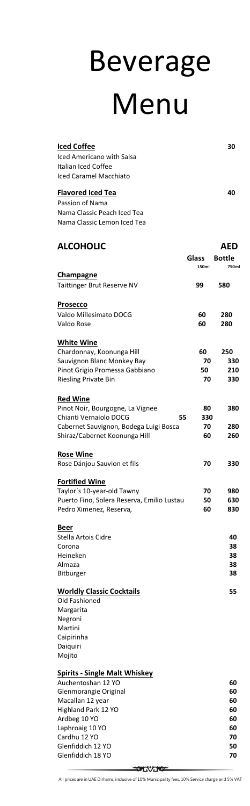All prices are in UAE Dirhams, inclusive of 10% Municipality fees, 10% Service charge and 5% VAT

| Auchentoshan 12 YO    | 60 |
|-----------------------|----|
| Glenmorangie Original | 60 |
| Macallan 12 year      | 60 |
| Highland Park 12 YO   | 60 |
| Ardbeg 10 YO          | 60 |
| Laphroaig 10 YO       | 60 |
| Cardhu 12 YO          | 70 |
| Glenfiddich 12 YO     | 50 |
| Glenfiddich 18 YO     | 70 |
|                       |    |

| <b>Iced Coffee</b><br><b>Iced Americano with Salsa</b><br>Italian Iced Coffee<br><b>Iced Caramel Macchiato</b>                                                 |                       | 30                         |
|----------------------------------------------------------------------------------------------------------------------------------------------------------------|-----------------------|----------------------------|
| <b>Flavored Iced Tea</b><br>Passion of Nama<br>Nama Classic Peach Iced Tea<br>Nama Classic Lemon Iced Tea                                                      |                       | 40                         |
| <b>ALCOHOLIC</b>                                                                                                                                               |                       | AED                        |
|                                                                                                                                                                | <b>Glass</b><br>150ml | <b>Bottle</b><br>750ml     |
| <b>Champagne</b><br><b>Taittinger Brut Reserve NV</b>                                                                                                          | 99                    | 580                        |
| <b>Prosecco</b><br>Valdo Millesimato DOCG<br>Valdo Rose                                                                                                        | 60<br>60              | 280<br>280                 |
| <b>White Wine</b><br>Chardonnay, Koonunga Hill<br>Sauvignon Blanc Monkey Bay<br>Pinot Grigio Promessa Gabbiano<br><b>Riesling Private Bin</b>                  | 60<br>70<br>50<br>70  | 250<br>330<br>210<br>330   |
| <b>Red Wine</b><br>Pinot Noir, Bourgogne, La Vignee<br>Chianti Vernaiolo DOCG<br>55<br>Cabernet Sauvignon, Bodega Luigi Bosca<br>Shiraz/Cabernet Koonunga Hill | 80<br>330<br>70<br>60 | 380<br>280<br>260          |
| <b>Rose Wine</b><br>Rose Dánjou Sauvion et fils                                                                                                                | 70                    | 330                        |
| <b>Fortified Wine</b><br>Taylor's 10-year-old Tawny<br>Puerto Fino, Solera Reserva, Emilio Lustau<br>Pedro Ximenez, Reserva,                                   | 70<br>50<br>60        | 980<br>630<br>830          |
| <b>Beer</b><br>Stella Artois Cidre<br>Corona<br>Heineken<br>Almaza<br><b>Bitburger</b>                                                                         |                       | 40<br>38<br>38<br>38<br>38 |
| <b>Worldly Classic Cocktails</b>                                                                                                                               |                       | 55                         |

Old Fashioned

| Margarita  |  |
|------------|--|
| Negroni    |  |
| Martini    |  |
| Caipirinha |  |
| Daiguiri   |  |
| Mojito     |  |

## **Spirits - Single Malt Whiskey**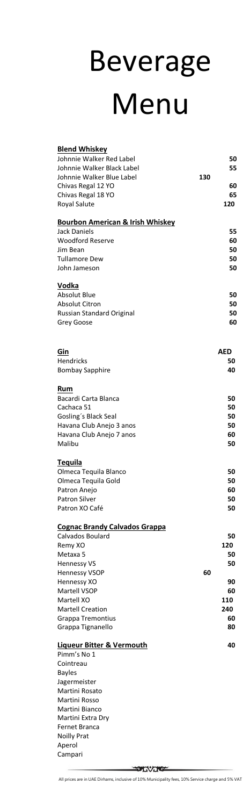All prices are in UAE Dirhams, inclusive of 10% Municipality fees, 10% Service charge and 5% VAT

| <b>Blend Whiskey</b>                        |     |     |
|---------------------------------------------|-----|-----|
| Johnnie Walker Red Label                    |     | 50  |
| Johnnie Walker Black Label                  |     | 55  |
| Johnnie Walker Blue Label                   | 130 |     |
| Chivas Regal 12 YO                          |     | 60  |
| Chivas Regal 18 YO                          |     | 65  |
|                                             |     | 120 |
| <b>Royal Salute</b>                         |     |     |
| <b>Bourbon American &amp; Irish Whiskey</b> |     |     |
| <b>Jack Daniels</b>                         |     | 55  |
|                                             |     |     |
| <b>Woodford Reserve</b>                     |     | 60  |
| Jim Bean                                    |     | 50  |
| <b>Tullamore Dew</b>                        |     | 50  |
| John Jameson                                |     | 50  |
| Vodka                                       |     |     |
| <b>Absolut Blue</b>                         |     |     |
|                                             |     | 50  |
| <b>Absolut Citron</b>                       |     | 50  |
| Russian Standard Original                   |     | 50  |
| Grey Goose                                  |     | 60  |
|                                             |     |     |
|                                             |     |     |
| Gin                                         |     | AED |
| <b>Hendricks</b>                            |     | 50  |
| <b>Bombay Sapphire</b>                      |     | 40  |
|                                             |     |     |
| Rum                                         |     |     |
| Bacardi Carta Blanca                        |     | 50  |
| Cachaca 51                                  |     | 50  |
| Gosling's Black Seal                        |     | 50  |
| Havana Club Anejo 3 anos                    |     | 50  |
| Havana Club Anejo 7 anos                    |     | 60  |
| Malibu                                      |     | 50  |
|                                             |     |     |
| <b>Tequila</b>                              |     |     |
| Olmeca Tequila Blanco                       |     | 50  |
| Olmeca Tequila Gold                         |     | 50  |
| Patron Anejo                                |     | 60  |
| <b>Patron Silver</b>                        |     | 50  |
| Patron XO Café                              |     | 50  |
|                                             |     |     |
| <b>Cognac Brandy Calvados Grappa</b>        |     |     |
| Calvados Boulard                            |     | 50  |
| Remy XO                                     |     | 120 |
| Metaxa 5                                    |     | 50  |
| <b>Hennessy VS</b>                          |     | 50  |
| <b>Hennessy VSOP</b>                        | 60  |     |
| Hennessy XO                                 |     | 90  |
| Martell VSOP                                |     | 60  |
| Martell XO                                  |     | 110 |

| <b>Martell Creation</b> | 240 |
|-------------------------|-----|
| Grappa Tremontius       | 60  |
| Grappa Tignanello       | 80  |

#### **Liqueur Bitter & Vermouth 40**

Pimm's No 1 Cointreau Bayles Jagermeister Martini Rosato Martini Rosso Martini Bianco Martini Extra Dry Fernet Branca Noilly Prat Aperol Campari

**MOVOCAL**